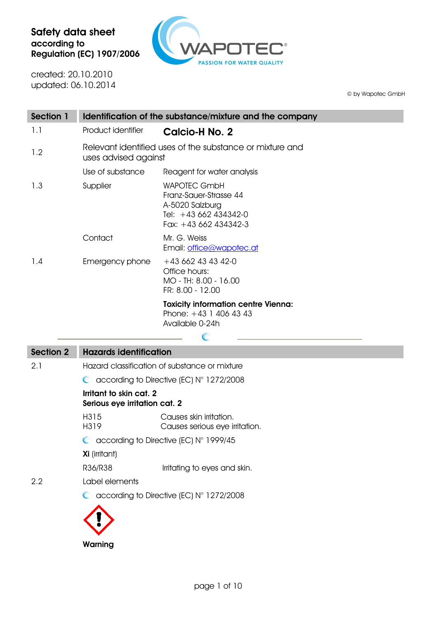

created: 20.10.2010 updated: 06.10.2014

© by Wapotec GmbH

| Section 1 |                                                                                  | Identification of the substance/mixture and the company                                                            |
|-----------|----------------------------------------------------------------------------------|--------------------------------------------------------------------------------------------------------------------|
| 1.1       | Product identifier                                                               | Calcio-H No. 2                                                                                                     |
| 1.2       | Relevant identified uses of the substance or mixture and<br>uses advised against |                                                                                                                    |
|           | Use of substance                                                                 | Reagent for water analysis                                                                                         |
| 1.3       | Supplier                                                                         | <b>WAPOTEC GmbH</b><br>Franz-Sauer-Strasse 44<br>A-5020 Salzburg<br>Tel: $+43662434342-0$<br>Fax: $+43662434342-3$ |
|           | Contact                                                                          | Mr. G. Weiss<br>Email: office@wapotec.at                                                                           |
| 1.4       | Emergency phone                                                                  | $+436624343420$<br>Office hours:<br>MO - TH: 8.00 - 16.00<br>FR: 8.00 - 12.00                                      |
|           |                                                                                  | <b>Toxicity information centre Vienna:</b><br>Phone: $+43$ 1 406 43 43<br>Available 0-24h                          |
|           |                                                                                  |                                                                                                                    |

| <b>Section 2</b> | <b>Hazards identification</b>                               |                                                             |  |
|------------------|-------------------------------------------------------------|-------------------------------------------------------------|--|
| 2.1              | Hazard classification of substance or mixture               |                                                             |  |
|                  | $\bullet$ according to Directive (EC) $N^{\circ}$ 1272/2008 |                                                             |  |
|                  | Irritant to skin cat. 2<br>Serious eye irritation cat. 2    |                                                             |  |
|                  | H315<br>H319                                                | Causes skin irritation.<br>Causes serious eye irritation.   |  |
|                  | $\bullet$ according to Directive (EC) N° 1999/45            |                                                             |  |
|                  | <b>Xi</b> (irritant)                                        |                                                             |  |
|                  | R36/R38                                                     | Irritating to eyes and skin.                                |  |
| 2.2              | I abel elements                                             |                                                             |  |
|                  |                                                             | $\bullet$ according to Directive (EC) $N^{\circ}$ 1272/2008 |  |
|                  |                                                             |                                                             |  |
|                  | Warning                                                     |                                                             |  |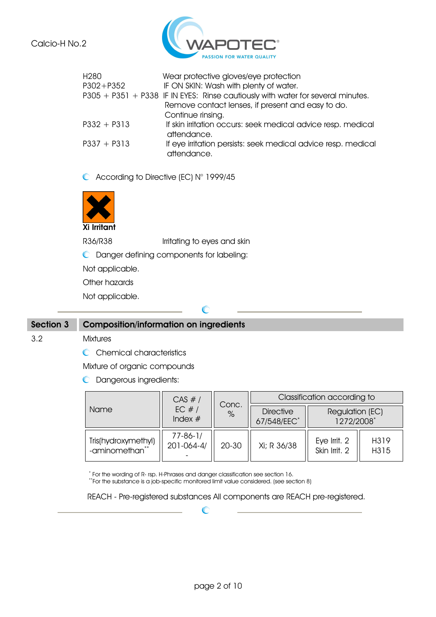

| H <sub>280</sub> | Wear protective gloves/eye protection                                           |
|------------------|---------------------------------------------------------------------------------|
| $P302 + P352$    | IF ON SKIN: Wash with plenty of water.                                          |
|                  | P305 + P351 + P338 IF IN EYES: Rinse cautiously with water for several minutes. |
|                  | Remove contact lenses, if present and easy to do.                               |
|                  | Continue rinsing.                                                               |
| $P332 + P313$    | If skin irritation occurs: seek medical advice resp. medical<br>attendance.     |
| $P337 + P313$    | If eye irritation persists: seek medical advice resp. medical<br>attendance.    |

C According to Directive (EC) N° 1999/45



R36/R38 Irritating to eyes and skin

 $\subset$ 

Danger defining components for labeling:

Not applicable.

Other hazards

Not applicable.

### **Section 3 Composition/information on ingredients**

#### 3.2 Mixtures

C Chemical characteristics

Mixture of organic compounds

**C** Dangerous ingredients:

|                                       | CAS #/                             | Conc.<br>$\%$ | Classification according to     |                               |              |
|---------------------------------------|------------------------------------|---------------|---------------------------------|-------------------------------|--------------|
| Name                                  | EC $#/$<br>Index $#$               |               | <b>Directive</b><br>67/548/EEC* | Regulation (EC)<br>1272/2008* |              |
| Tris(hydroxymethyl)<br>-aminomethan** | $77 - 86 - 1/$<br>$201 - 064 - 4/$ | 20-30         | Xi; R 36/38                     | Eye Irrit. 2<br>Skin Irrit. 2 | H319<br>H315 |

\* For the wording of R- rsp. H-Phrases and danger classification see section 16.

\*\*For the substance is a job-specific monitored limit value considered. (see section 8)

 $\mathcal C$ 

REACH - Pre-registered substances All components are REACH pre-registered.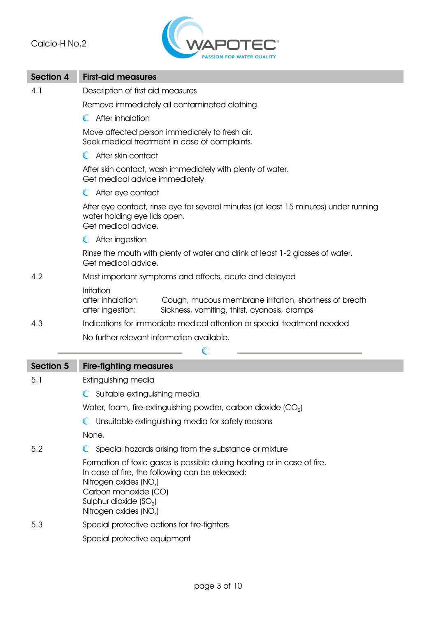

| Section 4        | <b>First-aid measures</b>                                                                                                                                                                                                                                            |  |  |
|------------------|----------------------------------------------------------------------------------------------------------------------------------------------------------------------------------------------------------------------------------------------------------------------|--|--|
| 4.1              | Description of first aid measures                                                                                                                                                                                                                                    |  |  |
|                  | Remove immediately all contaminated clothing.                                                                                                                                                                                                                        |  |  |
|                  | After inhalation<br>$\mathbb{C}$                                                                                                                                                                                                                                     |  |  |
|                  | Move affected person immediately to fresh air.<br>Seek medical treatment in case of complaints.                                                                                                                                                                      |  |  |
|                  | C After skin contact                                                                                                                                                                                                                                                 |  |  |
|                  | After skin contact, wash immediately with plenty of water.<br>Get medical advice immediately.                                                                                                                                                                        |  |  |
|                  | C After eye contact                                                                                                                                                                                                                                                  |  |  |
|                  | After eye contact, rinse eye for several minutes (at least 15 minutes) under running<br>water holding eye lids open.<br>Get medical advice.                                                                                                                          |  |  |
|                  | C After ingestion                                                                                                                                                                                                                                                    |  |  |
|                  | Rinse the mouth with plenty of water and drink at least 1-2 glasses of water.<br>Get medical advice.                                                                                                                                                                 |  |  |
| 4.2              | Most important symptoms and effects, acute and delayed                                                                                                                                                                                                               |  |  |
|                  | Irritation<br>after inhalation:<br>Cough, mucous membrane irritation, shortness of breath<br>Sickness, vomiting, thirst, cyanosis, cramps<br>after ingestion:                                                                                                        |  |  |
| 4.3              | Indications for immediate medical attention or special treatment needed                                                                                                                                                                                              |  |  |
|                  | No further relevant information available.                                                                                                                                                                                                                           |  |  |
|                  | $\mathbb{C}$                                                                                                                                                                                                                                                         |  |  |
| <b>Section 5</b> | <b>Fire-fighting measures</b>                                                                                                                                                                                                                                        |  |  |
| 5.1              | Extinguishing media                                                                                                                                                                                                                                                  |  |  |
|                  | Suitable extinguishing media                                                                                                                                                                                                                                         |  |  |
|                  | Water, foam, fire-extinguishing powder, carbon dioxide $(CO2)$                                                                                                                                                                                                       |  |  |
|                  | C Unsuitable extinguishing media for safety reasons                                                                                                                                                                                                                  |  |  |
|                  | None.                                                                                                                                                                                                                                                                |  |  |
| 5.2              | Special hazards arising from the substance or mixture                                                                                                                                                                                                                |  |  |
|                  | Formation of toxic gases is possible during heating or in case of fire.<br>In case of fire, the following can be released:<br>Nitrogen oxides (NO <sub>x</sub> )<br>Carbon monoxide (CO)<br>Sulphur dioxide (SO <sub>2</sub> )<br>Nitrogen oxides (NO <sub>x</sub> ) |  |  |
| 5.3              | Special protective actions for fire-fighters                                                                                                                                                                                                                         |  |  |
|                  | Special protective equipment                                                                                                                                                                                                                                         |  |  |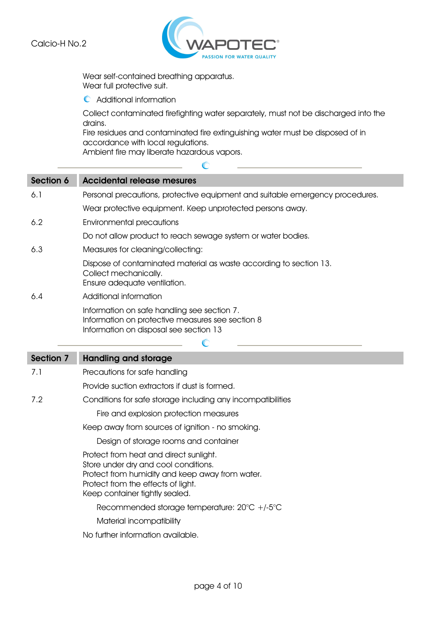

Wear self-contained breathing apparatus. Wear full protective suit.

Additional information

Collect contaminated firefighting water separately, must not be discharged into the drains.

Fire residues and contaminated fire extinguishing water must be disposed of in accordance with local regulations.

 $\overline{\mathbb{C}}$ 

Ambient fire may liberate hazardous vapors.

| Section 6 | <b>Accidental release mesures</b>                                                                                                                                                                         |
|-----------|-----------------------------------------------------------------------------------------------------------------------------------------------------------------------------------------------------------|
| 6.1       | Personal precautions, protective equipment and suitable emergency procedures.                                                                                                                             |
|           | Wear protective equipment. Keep unprotected persons away.                                                                                                                                                 |
| 6.2       | <b>Environmental precautions</b>                                                                                                                                                                          |
|           | Do not allow product to reach sewage system or water bodies.                                                                                                                                              |
| 6.3       | Measures for cleaning/collecting:                                                                                                                                                                         |
|           | Dispose of contaminated material as waste according to section 13.<br>Collect mechanically.<br>Ensure adequate ventilation.                                                                               |
| 6.4       | Additional information                                                                                                                                                                                    |
|           | Information on safe handling see section 7.<br>Information on protective measures see section 8<br>Information on disposal see section 13                                                                 |
|           | $\mathbb{C}$                                                                                                                                                                                              |
| Section 7 |                                                                                                                                                                                                           |
|           | <b>Handling and storage</b>                                                                                                                                                                               |
| 7.1       | Precautions for safe handling                                                                                                                                                                             |
|           | Provide suction extractors if dust is formed.                                                                                                                                                             |
| 7.2       | Conditions for safe storage including any incompatibilities                                                                                                                                               |
|           | Fire and explosion protection measures                                                                                                                                                                    |
|           | Keep away from sources of ignition - no smoking.                                                                                                                                                          |
|           | Design of storage rooms and container                                                                                                                                                                     |
|           | Protect from heat and direct sunlight.<br>Store under dry and cool conditions.<br>Protect from humidity and keep away from water.<br>Protect from the effects of light.<br>Keep container tightly sealed. |
|           | Recommended storage temperature: $20^{\circ}C$ +/-5 $^{\circ}C$                                                                                                                                           |
|           | Material incompatibility                                                                                                                                                                                  |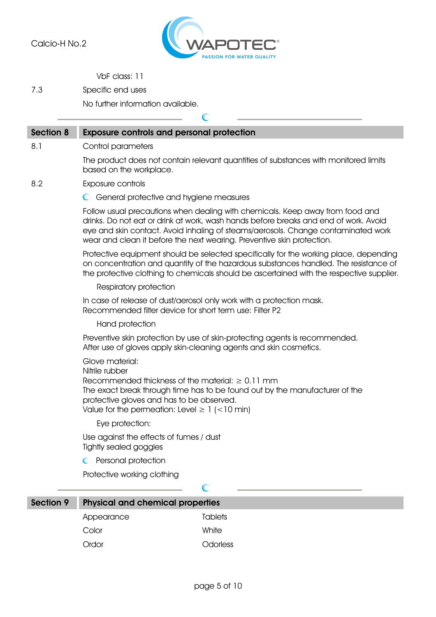

VbF class: 11

7.3 Specific end uses

No further information available.

|                  |                                                                                                                                                                                               | $\subset$                                                                                                                                                                                                                                                                                                                            |
|------------------|-----------------------------------------------------------------------------------------------------------------------------------------------------------------------------------------------|--------------------------------------------------------------------------------------------------------------------------------------------------------------------------------------------------------------------------------------------------------------------------------------------------------------------------------------|
| <b>Section 8</b> | <b>Exposure controls and personal protection</b>                                                                                                                                              |                                                                                                                                                                                                                                                                                                                                      |
| 8.1              | Control parameters                                                                                                                                                                            |                                                                                                                                                                                                                                                                                                                                      |
|                  | based on the workplace.                                                                                                                                                                       | The product does not contain relevant quantities of substances with monitored limits                                                                                                                                                                                                                                                 |
| 8.2              | Exposure controls                                                                                                                                                                             |                                                                                                                                                                                                                                                                                                                                      |
|                  | C General protective and hygiene measures                                                                                                                                                     |                                                                                                                                                                                                                                                                                                                                      |
|                  |                                                                                                                                                                                               | Follow usual precautions when dealing with chemicals. Keep away from food and<br>drinks. Do not eat or drink at work, wash hands before breaks and end of work. Avoid<br>eye and skin contact. Avoid inhaling of steams/aerosols. Change contaminated work<br>wear and clean it before the next wearing. Preventive skin protection. |
|                  |                                                                                                                                                                                               | Protective equipment should be selected specifically for the working place, depending<br>on concentration and quantity of the hazardous substances handled. The resistance of<br>the protective clothing to chemicals should be ascertained with the respective supplier.                                                            |
|                  | Respiratory protection                                                                                                                                                                        |                                                                                                                                                                                                                                                                                                                                      |
|                  | Recommended filter device for short term use: Filter P2                                                                                                                                       | In case of release of dust/aerosol only work with a protection mask.                                                                                                                                                                                                                                                                 |
|                  | Hand protection                                                                                                                                                                               |                                                                                                                                                                                                                                                                                                                                      |
|                  |                                                                                                                                                                                               | Preventive skin protection by use of skin-protecting agents is recommended.<br>After use of gloves apply skin-cleaning agents and skin cosmetics.                                                                                                                                                                                    |
|                  | Glove material:<br>Nitrile rubber<br>Recommended thickness of the material: $\geq 0.11$ mm<br>protective gloves and has to be observed.<br>Value for the permeation: Level $\geq 1$ (<10 min) | The exact break through time has to be found out by the manufacturer of the                                                                                                                                                                                                                                                          |
|                  | Eye protection:                                                                                                                                                                               |                                                                                                                                                                                                                                                                                                                                      |
|                  | Use against the effects of fumes / dust<br><b>Tightly sealed goggles</b>                                                                                                                      |                                                                                                                                                                                                                                                                                                                                      |
|                  | Personal protection                                                                                                                                                                           |                                                                                                                                                                                                                                                                                                                                      |
|                  | Protective working clothing                                                                                                                                                                   |                                                                                                                                                                                                                                                                                                                                      |
|                  |                                                                                                                                                                                               | $\mathbb{C}$                                                                                                                                                                                                                                                                                                                         |
| Section 9        | <b>Physical and chemical properties</b>                                                                                                                                                       |                                                                                                                                                                                                                                                                                                                                      |
|                  | Appearance                                                                                                                                                                                    | <b>Tablets</b>                                                                                                                                                                                                                                                                                                                       |
|                  | Color                                                                                                                                                                                         | White                                                                                                                                                                                                                                                                                                                                |

Ordor Odorless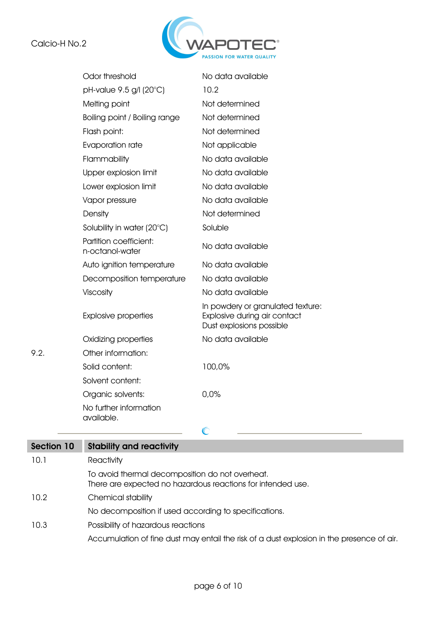$9.2.$ 



|      | Odor threshold                            | No data available                                                                             |
|------|-------------------------------------------|-----------------------------------------------------------------------------------------------|
|      | pH-value 9.5 g/l (20°C)                   | 10.2                                                                                          |
|      | Melting point                             | Not determined                                                                                |
|      | Boiling point / Boiling range             | Not determined                                                                                |
|      | Flash point:                              | Not determined                                                                                |
|      | Evaporation rate                          | Not applicable                                                                                |
|      | Flammability                              | No data available                                                                             |
|      | Upper explosion limit                     | No data available                                                                             |
|      | Lower explosion limit                     | No data available                                                                             |
|      | Vapor pressure                            | No data available                                                                             |
|      | Density                                   | Not determined                                                                                |
|      | Solubility in water (20°C)                | Soluble                                                                                       |
|      | Partition coefficient:<br>n-octanol-water | No data available                                                                             |
|      | Auto ignition temperature                 | No data available                                                                             |
|      | Decomposition temperature                 | No data available                                                                             |
|      | Viscosity                                 | No data available                                                                             |
|      | <b>Explosive properties</b>               | In powdery or granulated texture:<br>Explosive during air contact<br>Dust explosions possible |
|      | Oxidizing properties                      | No data available                                                                             |
| 9.2. | Other information:                        |                                                                                               |
|      | Solid content:                            | 100,0%                                                                                        |
|      | Solvent content:                          |                                                                                               |
|      | Organic solvents:                         | 0.0%                                                                                          |
|      | No further information<br>available.      |                                                                                               |
|      |                                           | $\mathbb{C}$                                                                                  |

| Section 10 | <b>Stability and reactivity</b>                                                                                |
|------------|----------------------------------------------------------------------------------------------------------------|
| 10.1       | Reactivity                                                                                                     |
|            | To avoid thermal decomposition do not overheat.<br>There are expected no hazardous reactions for intended use. |
| 10.2       | Chemical stability                                                                                             |
|            | No decomposition if used according to specifications.                                                          |
| 10.3       | Possibility of hazardous reactions                                                                             |
|            | Accumulation of fine dust may entail the risk of a dust explosion in the presence of air.                      |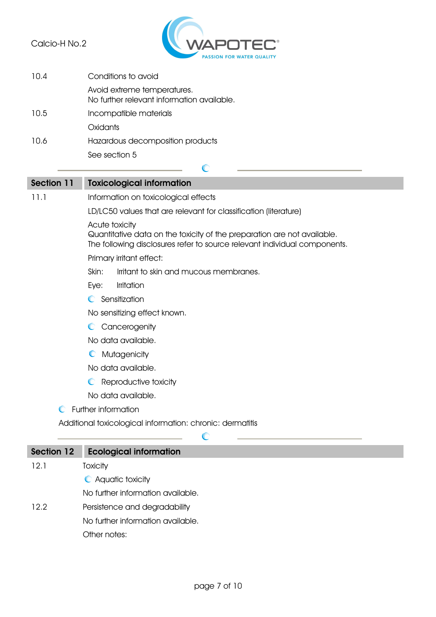

| 10.4 | Conditions to avoid                                                       |
|------|---------------------------------------------------------------------------|
|      | Avoid extreme temperatures.<br>No further relevant information available. |
| 10.5 | Incompatible materials                                                    |
|      | Oxidants                                                                  |
| 10.6 | Hazardous decomposition products                                          |
|      | See section 5                                                             |

# $\mathbb{C}$ **Section 11 Toxicological information** 11.1 Information on toxicological effects LD/LC50 values that are relevant for classification (literature) Acute toxicity Quantitative data on the toxicity of the preparation are not available. The following disclosures refer to source relevant individual components. Primary irritant effect: Skin: Irritant to skin and mucous membranes. Eye: Irritation **C** Sensitization No sensitizing effect known. C Cancerogenity No data available. **C** Mutagenicity No data available. **C** Reproductive toxicity No data available.

#### **C** Further information

Additional toxicological information: chronic: dermatitis

| <b>Section 12</b> | <b>Ecological information</b>     |
|-------------------|-----------------------------------|
| 12.1              | Toxicity                          |
|                   | C Aquatic toxicity                |
|                   | No further information available. |
| 12.2              | Persistence and degradability     |
|                   | No further information available. |
|                   | Other notes:                      |
|                   |                                   |

G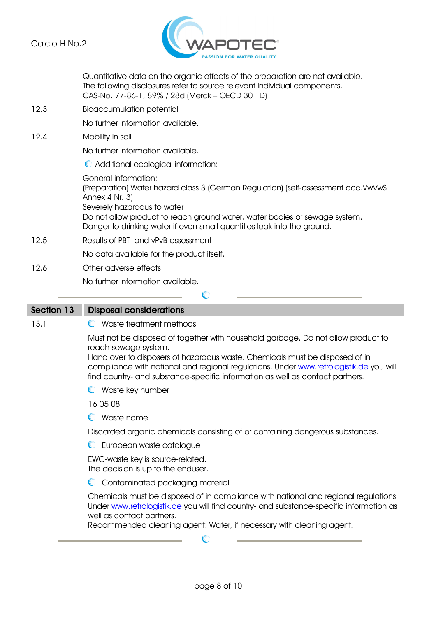

|                   | Quantitative data on the organic effects of the preparation are not available.<br>The following disclosures refer to source relevant individual components.<br>CAS-No. 77-86-1; 89% / 28d (Merck - OECD 301 D)                                                                                                                                                     |
|-------------------|--------------------------------------------------------------------------------------------------------------------------------------------------------------------------------------------------------------------------------------------------------------------------------------------------------------------------------------------------------------------|
| 12.3              | <b>Bioaccumulation potential</b>                                                                                                                                                                                                                                                                                                                                   |
|                   | No further information available.                                                                                                                                                                                                                                                                                                                                  |
| 12.4              | Mobility in soil                                                                                                                                                                                                                                                                                                                                                   |
|                   | No further information available.                                                                                                                                                                                                                                                                                                                                  |
|                   | C Additional ecological information:                                                                                                                                                                                                                                                                                                                               |
|                   | <b>General information:</b><br>(Preparation) Water hazard class 3 (German Regulation) (self-assessment acc.VwVwS<br>Annex 4 Nr. 3)<br>Severely hazardous to water<br>Do not allow product to reach ground water, water bodies or sewage system.<br>Danger to drinking water if even small quantities leak into the ground.                                         |
| 12.5              | Results of PBT- and vPvB-assessment                                                                                                                                                                                                                                                                                                                                |
|                   | No data available for the product itself.                                                                                                                                                                                                                                                                                                                          |
| 12.6              | Other adverse effects                                                                                                                                                                                                                                                                                                                                              |
|                   | No further information available.                                                                                                                                                                                                                                                                                                                                  |
|                   | $\mathbb{C}$                                                                                                                                                                                                                                                                                                                                                       |
| <b>Section 13</b> | <b>Disposal considerations</b>                                                                                                                                                                                                                                                                                                                                     |
| 13.1              | C Waste treatment methods                                                                                                                                                                                                                                                                                                                                          |
|                   | Must not be disposed of together with household garbage. Do not allow product to<br>reach sewage system.<br>Hand over to disposers of hazardous waste. Chemicals must be disposed of in<br>compliance with national and regional regulations. Under www.retrologistik.de you will<br>find country- and substance-specific information as well as contact partners. |
|                   | C Waste key number                                                                                                                                                                                                                                                                                                                                                 |
|                   | 16 05 08                                                                                                                                                                                                                                                                                                                                                           |
|                   | C Waste name                                                                                                                                                                                                                                                                                                                                                       |
|                   | Discarded organic chemicals consisting of or containing dangerous substances.                                                                                                                                                                                                                                                                                      |
|                   | European waste catalogue<br>$\mathbb{C}$                                                                                                                                                                                                                                                                                                                           |
|                   | EWC-waste key is source-related.<br>The decision is up to the enduser.                                                                                                                                                                                                                                                                                             |
|                   | C Contaminated packaging material                                                                                                                                                                                                                                                                                                                                  |
|                   | Chemicals must be disposed of in compliance with national and regional regulations.                                                                                                                                                                                                                                                                                |

Under <u>www.retrologistik.de</u> you will find country- and substance-specific information as well as contact partners.

Recommended cleaning agent: Water, if necessary with cleaning agent.

 $\mathcal{C}$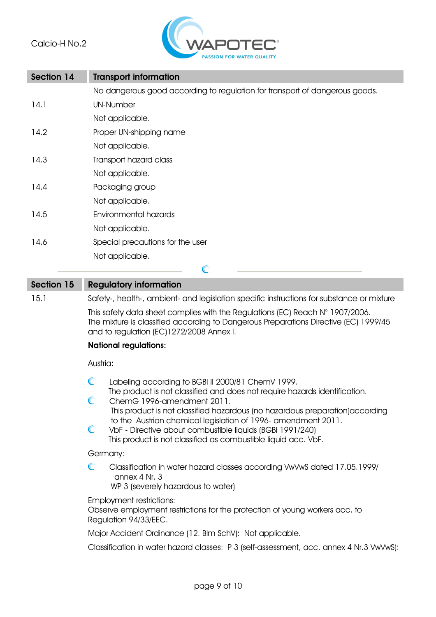

| <b>Section 14</b> | <b>Transport information</b>                                                |  |
|-------------------|-----------------------------------------------------------------------------|--|
|                   | No dangerous good according to regulation for transport of dangerous goods. |  |
| 14.1              | <b>UN-Number</b>                                                            |  |
|                   | Not applicable.                                                             |  |
| 14.2              | Proper UN-shipping name                                                     |  |
|                   | Not applicable.                                                             |  |
| 14.3              | Transport hazard class                                                      |  |
|                   | Not applicable.                                                             |  |
| 14.4              | Packaging group                                                             |  |
|                   | Not applicable.                                                             |  |
| 14.5              | Environmental hazards                                                       |  |
|                   | Not applicable.                                                             |  |
| 14.6              | Special precautions for the user                                            |  |
|                   | Not applicable.                                                             |  |
|                   | $\mathbb{C}$                                                                |  |

## **Section 15 Regulatory information** 15.1 Safety-, health-, ambient- and legislation specific instructions for substance or mixture This safety data sheet complies with the Regulations (EC) Reach N° 1907/2006. The mixture is classified according to Dangerous Preparations Directive (EC) 1999/45 and to regulation (EC)1272/2008 Annex I. **National regulations:** Austria:

| $\mathbb{C}$ | Labeling according to BGBI II 2000/81 ChemV 1999.                                         |
|--------------|-------------------------------------------------------------------------------------------|
|              | The product is not classified and does not require hazards identification.                |
| $\mathbb{C}$ | ChemG 1996-amendment 2011.                                                                |
|              | This product is not classified hazardous (no hazardous preparation) according             |
|              | to the Austrian chemical legislation of 1996- amendment 2011.                             |
| $\mathbb{C}$ | VbF - Directive about combustible liquids (BGBI 1991/240)                                 |
|              | This product is not classified as combustible liquid acc. VbF.                            |
|              | Germany:                                                                                  |
| $\mathbb{C}$ | Classification in water hazard classes according VwVwS dated 17.05.1999/<br>annex 4 Nr. 3 |
|              | WP 3 (severely hazardous to water)                                                        |
|              | Employment restrictions:                                                                  |
|              | Observe employment restrictions for the protection of young workers acc. to               |
|              | Regulation 94/33/EEC.                                                                     |
|              | Major Accident Ordinance (12. Blm SchV): Not applicable.                                  |
|              | Classification in water hazard classes: P 3 (self-assessment, acc. annex 4 Nr.3 VwVwS):   |
|              |                                                                                           |